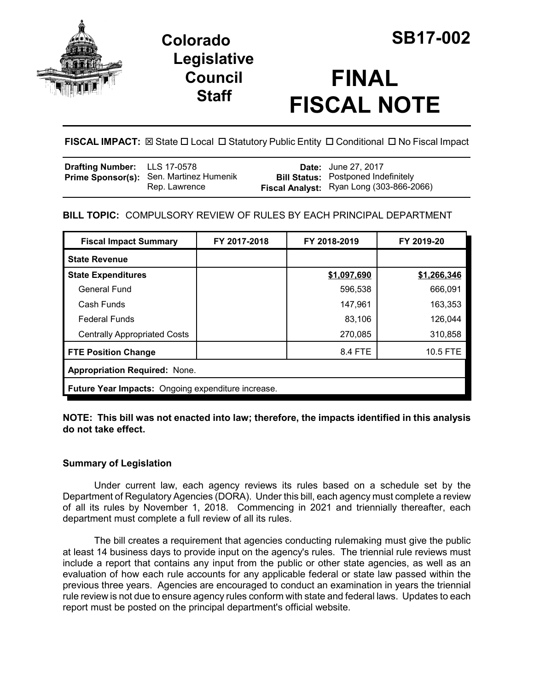

## **Legislative Council Staff**

# **FINAL FISCAL NOTE**

**FISCAL IMPACT:** ⊠ State  $\Box$  Local  $\Box$  Statutory Public Entity  $\Box$  Conditional  $\Box$  No Fiscal Impact

| <b>Drafting Number:</b> LLS 17-0578 |                                                          | <b>Date:</b> June 27, 2017                                                                    |
|-------------------------------------|----------------------------------------------------------|-----------------------------------------------------------------------------------------------|
|                                     | Prime Sponsor(s): Sen. Martinez Humenik<br>Rep. Lawrence | <b>Bill Status:</b> Postponed Indefinitely<br><b>Fiscal Analyst:</b> Ryan Long (303-866-2066) |

## **BILL TOPIC:** COMPULSORY REVIEW OF RULES BY EACH PRINCIPAL DEPARTMENT

| <b>Fiscal Impact Summary</b>                       | FY 2017-2018 | FY 2018-2019 | FY 2019-20  |  |  |
|----------------------------------------------------|--------------|--------------|-------------|--|--|
| <b>State Revenue</b>                               |              |              |             |  |  |
| <b>State Expenditures</b>                          |              | \$1,097,690  | \$1,266,346 |  |  |
| <b>General Fund</b>                                |              | 596,538      | 666,091     |  |  |
| Cash Funds                                         |              | 147,961      | 163,353     |  |  |
| <b>Federal Funds</b>                               |              | 83,106       | 126,044     |  |  |
| <b>Centrally Appropriated Costs</b>                |              | 270,085      | 310,858     |  |  |
| <b>FTE Position Change</b>                         |              | 8.4 FTE      | 10.5 FTE    |  |  |
| <b>Appropriation Required: None.</b>               |              |              |             |  |  |
| Future Year Impacts: Ongoing expenditure increase. |              |              |             |  |  |

**NOTE: This bill was not enacted into law; therefore, the impacts identified in this analysis do not take effect.** 

### **Summary of Legislation**

Under current law, each agency reviews its rules based on a schedule set by the Department of Regulatory Agencies (DORA). Under this bill, each agency must complete a review of all its rules by November 1, 2018. Commencing in 2021 and triennially thereafter, each department must complete a full review of all its rules.

The bill creates a requirement that agencies conducting rulemaking must give the public at least 14 business days to provide input on the agency's rules. The triennial rule reviews must include a report that contains any input from the public or other state agencies, as well as an evaluation of how each rule accounts for any applicable federal or state law passed within the previous three years. Agencies are encouraged to conduct an examination in years the triennial rule review is not due to ensure agency rules conform with state and federal laws. Updates to each report must be posted on the principal department's official website.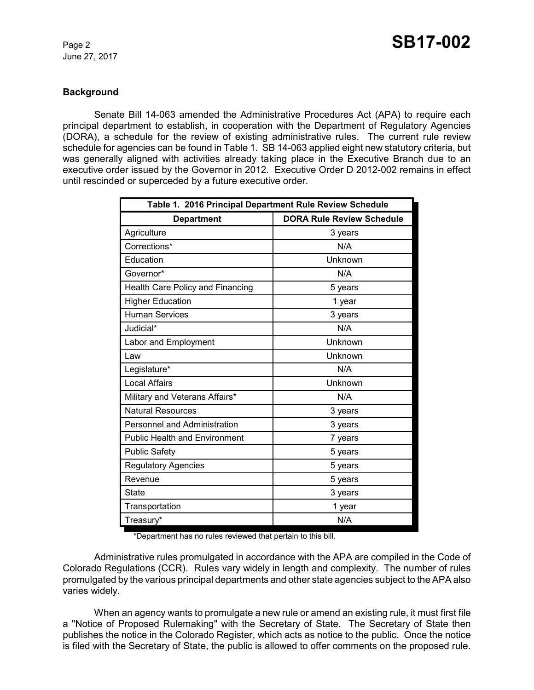#### **Background**

Senate Bill 14-063 amended the Administrative Procedures Act (APA) to require each principal department to establish, in cooperation with the Department of Regulatory Agencies (DORA), a schedule for the review of existing administrative rules. The current rule review schedule for agencies can be found in Table 1. SB 14-063 applied eight new statutory criteria, but was generally aligned with activities already taking place in the Executive Branch due to an executive order issued by the Governor in 2012. Executive Order D 2012-002 remains in effect until rescinded or superceded by a future executive order.

| Table 1. 2016 Principal Department Rule Review Schedule |                                  |  |  |
|---------------------------------------------------------|----------------------------------|--|--|
| <b>Department</b>                                       | <b>DORA Rule Review Schedule</b> |  |  |
| Agriculture                                             | 3 years                          |  |  |
| Corrections*                                            | N/A                              |  |  |
| Education                                               | Unknown                          |  |  |
| Governor*                                               | N/A                              |  |  |
| Health Care Policy and Financing                        | 5 years                          |  |  |
| <b>Higher Education</b>                                 | 1 year                           |  |  |
| <b>Human Services</b>                                   | 3 years                          |  |  |
| Judicial*                                               | N/A                              |  |  |
| Labor and Employment                                    | Unknown                          |  |  |
| Law                                                     | Unknown                          |  |  |
| Legislature*                                            | N/A                              |  |  |
| <b>Local Affairs</b>                                    | Unknown                          |  |  |
| Military and Veterans Affairs*                          | N/A                              |  |  |
| <b>Natural Resources</b>                                | 3 years                          |  |  |
| <b>Personnel and Administration</b>                     | 3 years                          |  |  |
| <b>Public Health and Environment</b>                    | 7 years                          |  |  |
| <b>Public Safety</b>                                    | 5 years                          |  |  |
| <b>Regulatory Agencies</b>                              | 5 years                          |  |  |
| Revenue                                                 | 5 years                          |  |  |
| State                                                   | 3 years                          |  |  |
| Transportation                                          | 1 year                           |  |  |
| Treasury*                                               | N/A                              |  |  |

\*Department has no rules reviewed that pertain to this bill.

Administrative rules promulgated in accordance with the APA are compiled in the Code of Colorado Regulations (CCR). Rules vary widely in length and complexity. The number of rules promulgated by the various principal departments and other state agencies subject to the APA also varies widely.

When an agency wants to promulgate a new rule or amend an existing rule, it must first file a "Notice of Proposed Rulemaking" with the Secretary of State. The Secretary of State then publishes the notice in the Colorado Register, which acts as notice to the public. Once the notice is filed with the Secretary of State, the public is allowed to offer comments on the proposed rule.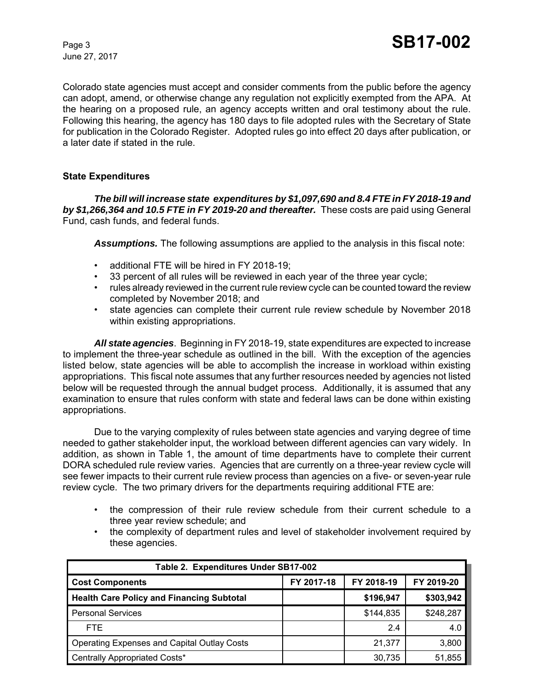Colorado state agencies must accept and consider comments from the public before the agency can adopt, amend, or otherwise change any regulation not explicitly exempted from the APA. At the hearing on a proposed rule, an agency accepts written and oral testimony about the rule. Following this hearing, the agency has 180 days to file adopted rules with the Secretary of State for publication in the Colorado Register. Adopted rules go into effect 20 days after publication, or a later date if stated in the rule.

#### **State Expenditures**

*The bill will increase state expenditures by \$1,097,690 and 8.4 FTE in FY 2018-19 and by \$1,266,364 and 10.5 FTE in FY 2019-20 and thereafter.* These costs are paid using General Fund, cash funds, and federal funds.

*Assumptions.* The following assumptions are applied to the analysis in this fiscal note:

- additional FTE will be hired in FY 2018-19;
- 33 percent of all rules will be reviewed in each year of the three year cycle;
- rules already reviewed in the current rule review cycle can be counted toward the review completed by November 2018; and
- state agencies can complete their current rule review schedule by November 2018 within existing appropriations.

*All state agencies*. Beginning in FY 2018-19, state expenditures are expected to increase to implement the three-year schedule as outlined in the bill. With the exception of the agencies listed below, state agencies will be able to accomplish the increase in workload within existing appropriations. This fiscal note assumes that any further resources needed by agencies not listed below will be requested through the annual budget process. Additionally, it is assumed that any examination to ensure that rules conform with state and federal laws can be done within existing appropriations.

Due to the varying complexity of rules between state agencies and varying degree of time needed to gather stakeholder input, the workload between different agencies can vary widely. In addition, as shown in Table 1, the amount of time departments have to complete their current DORA scheduled rule review varies. Agencies that are currently on a three-year review cycle will see fewer impacts to their current rule review process than agencies on a five- or seven-year rule review cycle. The two primary drivers for the departments requiring additional FTE are:

- the compression of their rule review schedule from their current schedule to a three year review schedule; and
- the complexity of department rules and level of stakeholder involvement required by these agencies.

| Table 2. Expenditures Under SB17-002               |            |            |            |
|----------------------------------------------------|------------|------------|------------|
| <b>Cost Components</b>                             | FY 2017-18 | FY 2018-19 | FY 2019-20 |
| <b>Health Care Policy and Financing Subtotal</b>   |            | \$196,947  | \$303,942  |
| <b>Personal Services</b>                           |            | \$144,835  | \$248,287  |
| FTE.                                               |            | 2.4        | 4.0        |
| <b>Operating Expenses and Capital Outlay Costs</b> |            | 21.377     | 3,800      |
| Centrally Appropriated Costs*                      |            | 30,735     | 51,855     |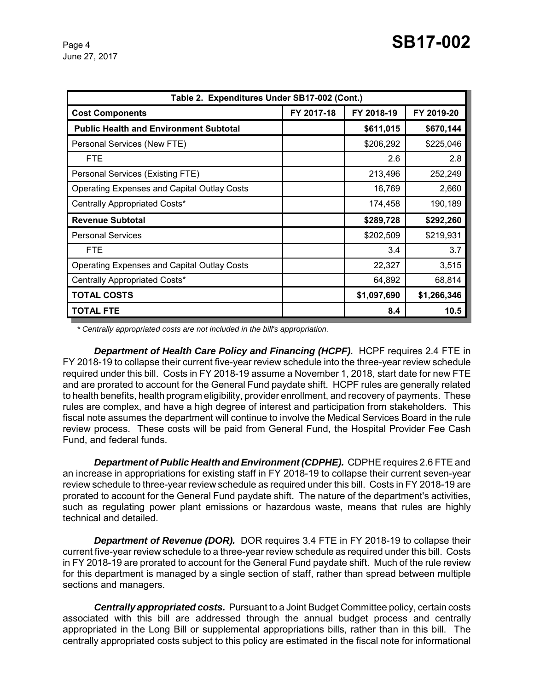| Table 2. Expenditures Under SB17-002 (Cont.)       |            |             |             |  |
|----------------------------------------------------|------------|-------------|-------------|--|
| <b>Cost Components</b>                             | FY 2017-18 | FY 2018-19  | FY 2019-20  |  |
| <b>Public Health and Environment Subtotal</b>      |            | \$611,015   | \$670,144   |  |
| Personal Services (New FTE)                        |            | \$206,292   | \$225,046   |  |
| <b>FTE</b>                                         |            | 2.6         | 2.8         |  |
| Personal Services (Existing FTE)                   |            | 213,496     | 252,249     |  |
| <b>Operating Expenses and Capital Outlay Costs</b> |            | 16,769      | 2,660       |  |
| Centrally Appropriated Costs*                      |            | 174,458     | 190,189     |  |
| <b>Revenue Subtotal</b>                            |            | \$289,728   | \$292,260   |  |
| <b>Personal Services</b>                           |            | \$202,509   | \$219,931   |  |
| <b>FTE</b>                                         |            | 3.4         | 3.7         |  |
| <b>Operating Expenses and Capital Outlay Costs</b> |            | 22,327      | 3,515       |  |
| Centrally Appropriated Costs*                      |            | 64,892      | 68,814      |  |
| <b>TOTAL COSTS</b>                                 |            | \$1,097,690 | \$1,266,346 |  |
| <b>TOTAL FTE</b>                                   |            | 8.4         | 10.5        |  |

*\* Centrally appropriated costs are not included in the bill's appropriation.*

**Department of Health Care Policy and Financing (HCPF).** HCPF requires 2.4 FTE in FY 2018-19 to collapse their current five-year review schedule into the three-year review schedule required under this bill. Costs in FY 2018-19 assume a November 1, 2018, start date for new FTE and are prorated to account for the General Fund paydate shift. HCPF rules are generally related to health benefits, health program eligibility, provider enrollment, and recovery of payments. These rules are complex, and have a high degree of interest and participation from stakeholders. This fiscal note assumes the department will continue to involve the Medical Services Board in the rule review process. These costs will be paid from General Fund, the Hospital Provider Fee Cash Fund, and federal funds.

*Department of Public Health and Environment (CDPHE).* CDPHE requires 2.6 FTE and an increase in appropriations for existing staff in FY 2018-19 to collapse their current seven-year review schedule to three-year review schedule as required under this bill. Costs in FY 2018-19 are prorated to account for the General Fund paydate shift. The nature of the department's activities, such as regulating power plant emissions or hazardous waste, means that rules are highly technical and detailed.

**Department of Revenue (DOR).** DOR requires 3.4 FTE in FY 2018-19 to collapse their current five-year review schedule to a three-year review schedule as required under this bill. Costs in FY 2018-19 are prorated to account for the General Fund paydate shift. Much of the rule review for this department is managed by a single section of staff, rather than spread between multiple sections and managers.

*Centrally appropriated costs.* Pursuant to a Joint Budget Committee policy, certain costs associated with this bill are addressed through the annual budget process and centrally appropriated in the Long Bill or supplemental appropriations bills, rather than in this bill. The centrally appropriated costs subject to this policy are estimated in the fiscal note for informational